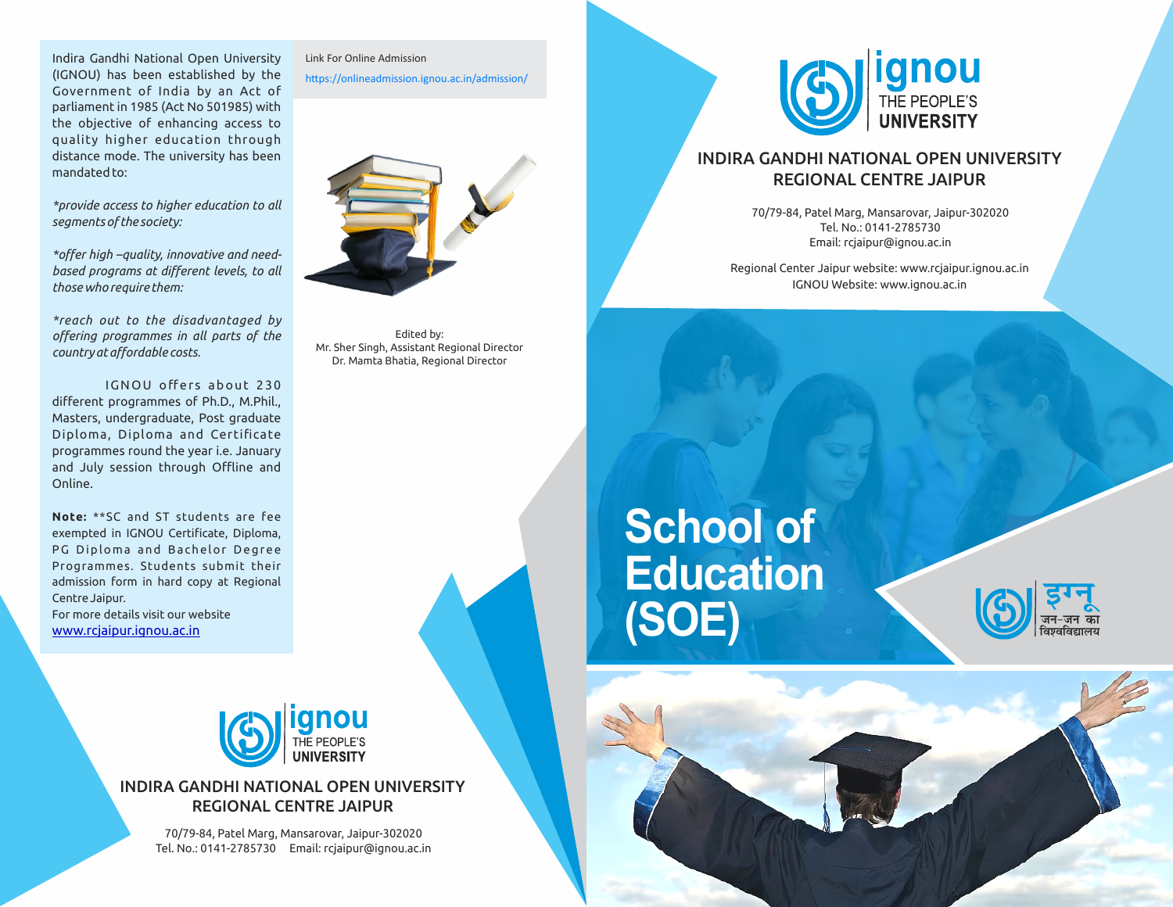Indira Gandhi National Open University (IGNOU) has been established by the Government of India by an Act of parliament in 1985 (Act No 501985) with the objective of enhancing access to quality higher education through distance mode. The university has been mandated to:

*\*provide access to higher education to all segments of the society:*

*\*offer high –quality, innovative and needbased programs at different levels, to all those who require them:*

*\*reach out to the disadvantaged by offering programmes in all parts of the country at affordable costs.*

IGNOU offers about 230 different programmes of Ph.D., M.Phil., Masters, undergraduate, Post graduate Diploma, Diploma and Certificate programmes round the year i.e. January and July session through Offline and Online.

**Note:** \*\*SC and ST students are fee exempted in IGNOU Certificate, Diploma, PG Diploma and Bachelor Degree Programmes. Students submit their admission form in hard copy at Regional Centre Jaipur. For more details visit our website www.rcjaipur.ignou.ac.in

Link For Online Admission

https://onlineadmission.ignou.ac.in/admission/



Edited by: Mr. Sher Singh, Assistant Regional Director Dr. Mamta Bhatia, Regional Director

## **School of Education (SOE)**





## INDIRA GANDHI NATIONAL OPEN UNIVERSITY REGIONAL CENTRE JAIPUR

70/79-84, Patel Marg, Mansarovar, Jaipur-302020 Tel. No.: 0141-2785730 Email: rcjaipur@ignou.ac.in



## INDIRA GANDHI NATIONAL OPEN UNIVERSITY REGIONAL CENTRE JAIPUR

70/79-84, Patel Marg, Mansarovar, Jaipur-302020 Tel. No.: 0141-2785730 Email: rcjaipur@ignou.ac.in

Regional Center Jaipur website: www.rcjaipur.ignou.ac.in IGNOU Website: www.ignou.ac.in